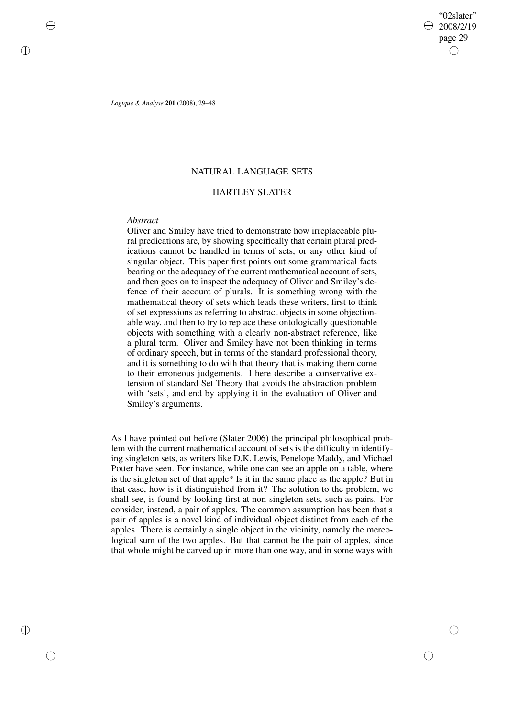✐

✐

*Logique & Analyse* **201** (2008), 29–48

✐

✐

✐

✐

# NATURAL LANGUAGE SETS

# HARTLEY SLATER

# *Abstract*

Oliver and Smiley have tried to demonstrate how irreplaceable plural predications are, by showing specifically that certain plural predications cannot be handled in terms of sets, or any other kind of singular object. This paper first points out some grammatical facts bearing on the adequacy of the current mathematical account of sets, and then goes on to inspect the adequacy of Oliver and Smiley's defence of their account of plurals. It is something wrong with the mathematical theory of sets which leads these writers, first to think of set expressions as referring to abstract objects in some objectionable way, and then to try to replace these ontologically questionable objects with something with a clearly non-abstract reference, like a plural term. Oliver and Smiley have not been thinking in terms of ordinary speech, but in terms of the standard professional theory, and it is something to do with that theory that is making them come to their erroneous judgements. I here describe a conservative extension of standard Set Theory that avoids the abstraction problem with 'sets', and end by applying it in the evaluation of Oliver and Smiley's arguments.

As I have pointed out before (Slater 2006) the principal philosophical problem with the current mathematical account of sets is the difficulty in identifying singleton sets, as writers like D.K. Lewis, Penelope Maddy, and Michael Potter have seen. For instance, while one can see an apple on a table, where is the singleton set of that apple? Is it in the same place as the apple? But in that case, how is it distinguished from it? The solution to the problem, we shall see, is found by looking first at non-singleton sets, such as pairs. For consider, instead, a pair of apples. The common assumption has been that a pair of apples is a novel kind of individual object distinct from each of the apples. There is certainly a single object in the vicinity, namely the mereological sum of the two apples. But that cannot be the pair of apples, since that whole might be carved up in more than one way, and in some ways with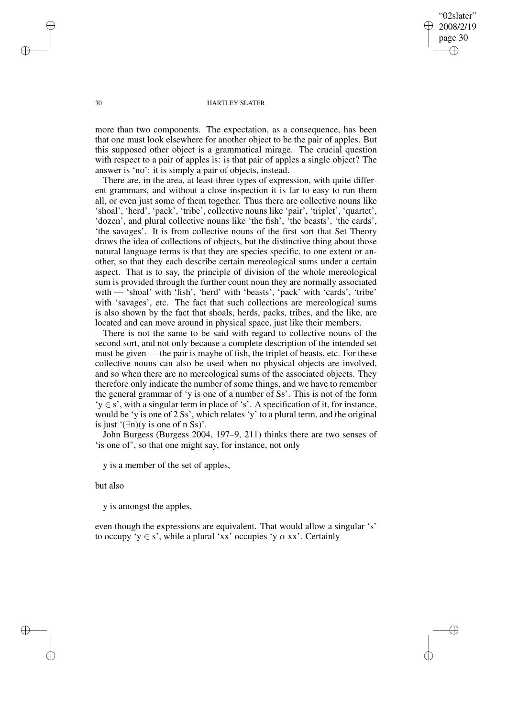"02slater" 2008/2/19 page 30 ✐ ✐

✐

✐

#### 30 HARTLEY SLATER

more than two components. The expectation, as a consequence, has been that one must look elsewhere for another object to be the pair of apples. But this supposed other object is a grammatical mirage. The crucial question with respect to a pair of apples is: is that pair of apples a single object? The answer is 'no': it is simply a pair of objects, instead.

There are, in the area, at least three types of expression, with quite different grammars, and without a close inspection it is far to easy to run them all, or even just some of them together. Thus there are collective nouns like 'shoal', 'herd', 'pack', 'tribe', collective nouns like 'pair', 'triplet', 'quartet', 'dozen', and plural collective nouns like 'the fish', 'the beasts', 'the cards', 'the savages'. It is from collective nouns of the first sort that Set Theory draws the idea of collections of objects, but the distinctive thing about those natural language terms is that they are species specific, to one extent or another, so that they each describe certain mereological sums under a certain aspect. That is to say, the principle of division of the whole mereological sum is provided through the further count noun they are normally associated with — 'shoal' with 'fish', 'herd' with 'beasts', 'pack' with 'cards', 'tribe' with 'savages', etc. The fact that such collections are mereological sums is also shown by the fact that shoals, herds, packs, tribes, and the like, are located and can move around in physical space, just like their members.

There is not the same to be said with regard to collective nouns of the second sort, and not only because a complete description of the intended set must be given — the pair is maybe of fish, the triplet of beasts, etc. For these collective nouns can also be used when no physical objects are involved, and so when there are no mereological sums of the associated objects. They therefore only indicate the number of some things, and we have to remember the general grammar of 'y is one of a number of Ss'. This is not of the form 'y ∈ s', with a singular term in place of 's'. A specification of it, for instance, would be 'y is one of 2 Ss', which relates 'y' to a plural term, and the original is just  $'(\exists n)(y \text{ is one of } n \text{ Ss})'$ .

John Burgess (Burgess 2004, 197–9, 211) thinks there are two senses of 'is one of', so that one might say, for instance, not only

y is a member of the set of apples,

## but also

✐

✐

y is amongst the apples,

even though the expressions are equivalent. That would allow a singular 's' to occupy 'y  $\in$  s', while a plural 'xx' occupies 'y  $\alpha$  xx'. Certainly

✐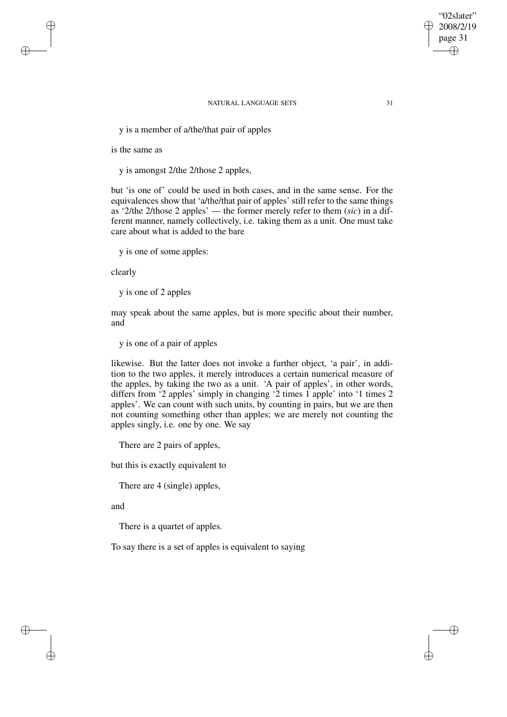y is a member of a/the/that pair of apples

is the same as

✐

✐

y is amongst 2/the 2/those 2 apples,

but 'is one of' could be used in both cases, and in the same sense. For the equivalences show that 'a/the/that pair of apples' still refer to the same things as '2/the 2/those 2 apples' — the former merely refer to them (*sic*) in a different manner, namely collectively, i.e. taking them as a unit. One must take care about what is added to the bare

y is one of some apples:

clearly

y is one of 2 apples

may speak about the same apples, but is more specific about their number, and

y is one of a pair of apples

likewise. But the latter does not invoke a further object, 'a pair', in addition to the two apples, it merely introduces a certain numerical measure of the apples, by taking the two as a unit. 'A pair of apples', in other words, differs from '2 apples' simply in changing '2 times 1 apple' into '1 times 2 apples'. We can count with such units, by counting in pairs, but we are then not counting something other than apples; we are merely not counting the apples singly, i.e. one by one. We say

There are 2 pairs of apples,

but this is exactly equivalent to

There are 4 (single) apples,

and

✐

✐

There is a quartet of apples.

To say there is a set of apples is equivalent to saying

"02slater" 2008/2/19 page 31

✐

✐

✐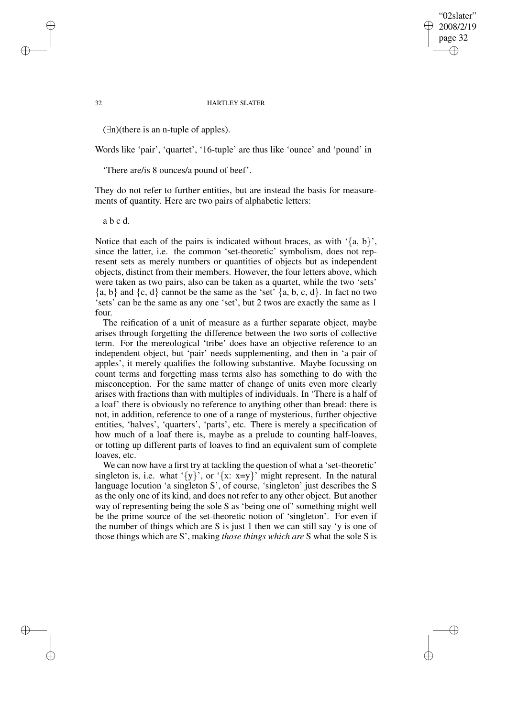#### 32 HARTLEY SLATER

"02slater" 2008/2/19 page 32

✐

✐

✐

✐

(∃n)(there is an n-tuple of apples).

Words like 'pair', 'quartet', '16-tuple' are thus like 'ounce' and 'pound' in

'There are/is 8 ounces/a pound of beef'.

They do not refer to further entities, but are instead the basis for measurements of quantity. Here are two pairs of alphabetic letters:

a b c d.

Notice that each of the pairs is indicated without braces, as with  $\{a, b\}$ , since the latter, i.e. the common 'set-theoretic' symbolism, does not represent sets as merely numbers or quantities of objects but as independent objects, distinct from their members. However, the four letters above, which were taken as two pairs, also can be taken as a quartet, while the two 'sets'  ${a, b}$  and  ${c, d}$  cannot be the same as the 'set'  ${a, b, c, d}$ . In fact no two 'sets' can be the same as any one 'set', but 2 twos are exactly the same as 1 four.

The reification of a unit of measure as a further separate object, maybe arises through forgetting the difference between the two sorts of collective term. For the mereological 'tribe' does have an objective reference to an independent object, but 'pair' needs supplementing, and then in 'a pair of apples', it merely qualifies the following substantive. Maybe focussing on count terms and forgetting mass terms also has something to do with the misconception. For the same matter of change of units even more clearly arises with fractions than with multiples of individuals. In 'There is a half of a loaf' there is obviously no reference to anything other than bread: there is not, in addition, reference to one of a range of mysterious, further objective entities, 'halves', 'quarters', 'parts', etc. There is merely a specification of how much of a loaf there is, maybe as a prelude to counting half-loaves, or totting up different parts of loaves to find an equivalent sum of complete loaves, etc.

We can now have a first try at tackling the question of what a 'set-theoretic' singleton is, i.e. what '{y}', or '{x: x=y}' might represent. In the natural language locution 'a singleton S', of course, 'singleton' just describes the S as the only one of its kind, and does not refer to any other object. But another way of representing being the sole S as 'being one of' something might well be the prime source of the set-theoretic notion of 'singleton'. For even if the number of things which are S is just 1 then we can still say 'y is one of those things which are S', making *those things which are* S what the sole S is

✐

✐

✐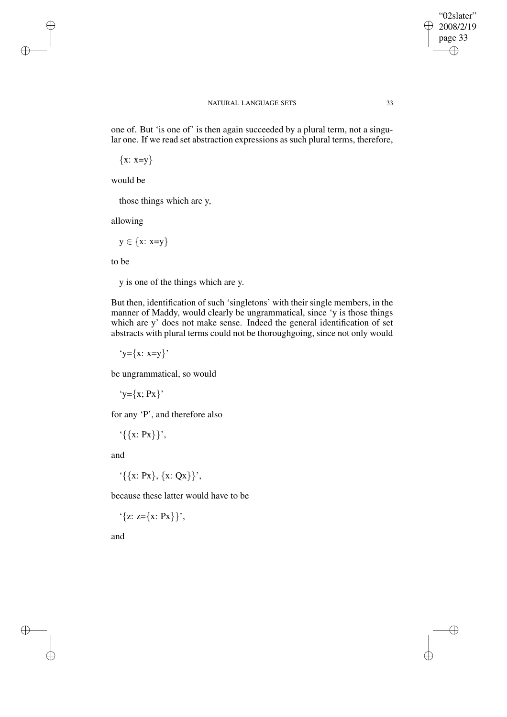one of. But 'is one of' is then again succeeded by a plural term, not a singular one. If we read set abstraction expressions as such plural terms, therefore,

 $\{x: x=y\}$ 

would be

✐

✐

those things which are y,

allowing

$$
y \in \{x: x=y\}
$$

to be

y is one of the things which are y.

But then, identification of such 'singletons' with their single members, in the manner of Maddy, would clearly be ungrammatical, since 'y is those things which are y' does not make sense. Indeed the general identification of set abstracts with plural terms could not be thoroughgoing, since not only would

 $y=\{x: x=y\}$ 

be ungrammatical, so would

 $y=\{x; Px\}'$ 

for any 'P', and therefore also

$$
\{\{x: Px\}\},\,
$$

and

'{{x: Px}, {x: Qx}}',

because these latter would have to be

 $\{z: z = \{x: Px\}\},\$ 

and

✐

✐

"02slater" 2008/2/19 page 33

✐

✐

 $\bigoplus$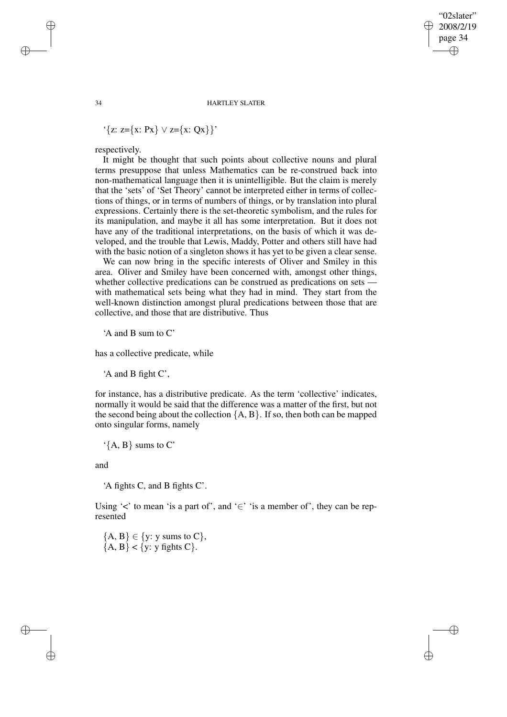34 HARTLEY SLATER

"02slater" 2008/2/19 page 34

✐

✐

✐

✐

'{z: z={x: Px} ∨ z={x: Qx}}'

respectively.

It might be thought that such points about collective nouns and plural terms presuppose that unless Mathematics can be re-construed back into non-mathematical language then it is unintelligible. But the claim is merely that the 'sets' of 'Set Theory' cannot be interpreted either in terms of collections of things, or in terms of numbers of things, or by translation into plural expressions. Certainly there is the set-theoretic symbolism, and the rules for its manipulation, and maybe it all has some interpretation. But it does not have any of the traditional interpretations, on the basis of which it was developed, and the trouble that Lewis, Maddy, Potter and others still have had with the basic notion of a singleton shows it has yet to be given a clear sense.

We can now bring in the specific interests of Oliver and Smiley in this area. Oliver and Smiley have been concerned with, amongst other things, whether collective predications can be construed as predications on sets with mathematical sets being what they had in mind. They start from the well-known distinction amongst plural predications between those that are collective, and those that are distributive. Thus

'A and B sum to C'

has a collective predicate, while

'A and B fight C',

for instance, has a distributive predicate. As the term 'collective' indicates, normally it would be said that the difference was a matter of the first, but not the second being about the collection  ${A, B}$ . If so, then both can be mapped onto singular forms, namely

 $\{A, B\}$  sums to C'

and

✐

✐

'A fights C, and B fights C'.

Using ' $lt'$ ' to mean 'is a part of', and ' $\in'$ ' is a member of', they can be represented

 ${A, B} \in \{y: y \text{ sums to } C\},\$  ${A, B} < \{y: y \text{ fights } C\}.$ 

✐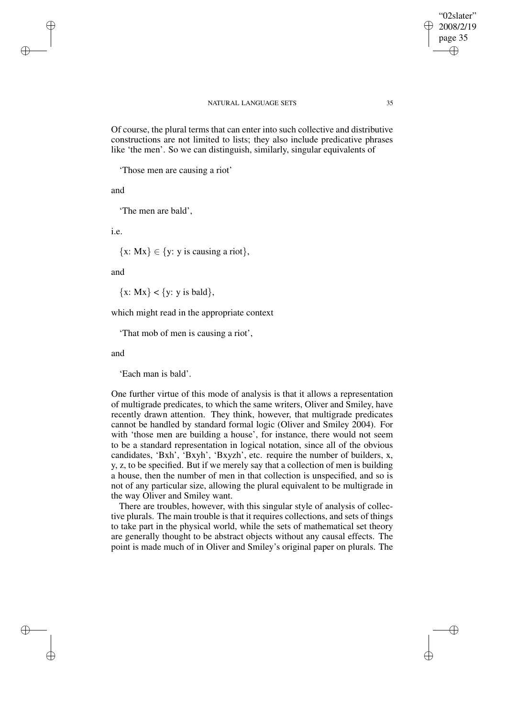Of course, the plural terms that can enter into such collective and distributive constructions are not limited to lists; they also include predicative phrases like 'the men'. So we can distinguish, similarly, singular equivalents of

'Those men are causing a riot'

and

✐

✐

✐

✐

'The men are bald',

i.e.

 ${x: Mx} \in {y: y is causing a root},$ 

and

 $\{x: Mx\} < \{y: y \text{ is bad}\},\$ 

which might read in the appropriate context

'That mob of men is causing a riot',

and

'Each man is bald'.

One further virtue of this mode of analysis is that it allows a representation of multigrade predicates, to which the same writers, Oliver and Smiley, have recently drawn attention. They think, however, that multigrade predicates cannot be handled by standard formal logic (Oliver and Smiley 2004). For with 'those men are building a house', for instance, there would not seem to be a standard representation in logical notation, since all of the obvious candidates, 'Bxh', 'Bxyh', 'Bxyzh', etc. require the number of builders, x, y, z, to be specified. But if we merely say that a collection of men is building a house, then the number of men in that collection is unspecified, and so is not of any particular size, allowing the plural equivalent to be multigrade in the way Oliver and Smiley want.

There are troubles, however, with this singular style of analysis of collective plurals. The main trouble is that it requires collections, and sets of things to take part in the physical world, while the sets of mathematical set theory are generally thought to be abstract objects without any causal effects. The point is made much of in Oliver and Smiley's original paper on plurals. The

"02slater" 2008/2/19 page 35

✐

✐

✐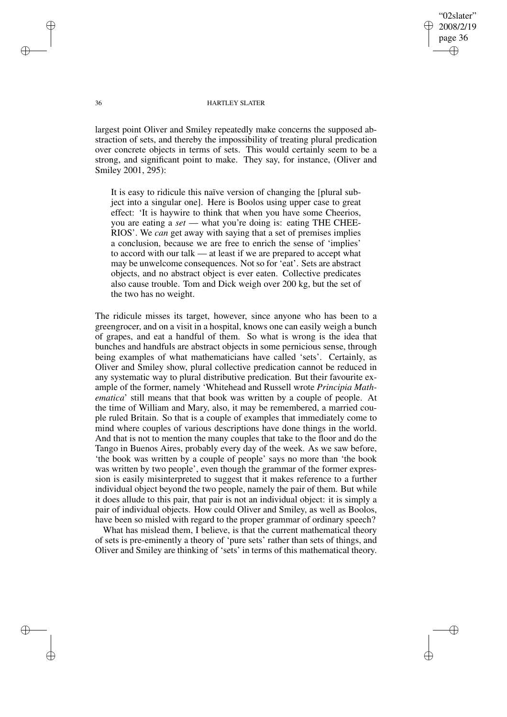"02slater" 2008/2/19 page 36 ✐ ✐

✐

✐

#### 36 HARTLEY SLATER

largest point Oliver and Smiley repeatedly make concerns the supposed abstraction of sets, and thereby the impossibility of treating plural predication over concrete objects in terms of sets. This would certainly seem to be a strong, and significant point to make. They say, for instance, (Oliver and Smiley 2001, 295):

It is easy to ridicule this naïve version of changing the [plural subject into a singular one]. Here is Boolos using upper case to great effect: 'It is haywire to think that when you have some Cheerios, you are eating a *set* — what you're doing is: eating THE CHEE-RIOS'. We *can* get away with saying that a set of premises implies a conclusion, because we are free to enrich the sense of 'implies' to accord with our talk — at least if we are prepared to accept what may be unwelcome consequences. Not so for 'eat'. Sets are abstract objects, and no abstract object is ever eaten. Collective predicates also cause trouble. Tom and Dick weigh over 200 kg, but the set of the two has no weight.

The ridicule misses its target, however, since anyone who has been to a greengrocer, and on a visit in a hospital, knows one can easily weigh a bunch of grapes, and eat a handful of them. So what is wrong is the idea that bunches and handfuls are abstract objects in some pernicious sense, through being examples of what mathematicians have called 'sets'. Certainly, as Oliver and Smiley show, plural collective predication cannot be reduced in any systematic way to plural distributive predication. But their favourite example of the former, namely 'Whitehead and Russell wrote *Principia Mathematica*' still means that that book was written by a couple of people. At the time of William and Mary, also, it may be remembered, a married couple ruled Britain. So that is a couple of examples that immediately come to mind where couples of various descriptions have done things in the world. And that is not to mention the many couples that take to the floor and do the Tango in Buenos Aires, probably every day of the week. As we saw before, 'the book was written by a couple of people' says no more than 'the book was written by two people', even though the grammar of the former expression is easily misinterpreted to suggest that it makes reference to a further individual object beyond the two people, namely the pair of them. But while it does allude to this pair, that pair is not an individual object: it is simply a pair of individual objects. How could Oliver and Smiley, as well as Boolos, have been so misled with regard to the proper grammar of ordinary speech?

What has mislead them, I believe, is that the current mathematical theory of sets is pre-eminently a theory of 'pure sets' rather than sets of things, and Oliver and Smiley are thinking of 'sets' in terms of this mathematical theory.

✐

✐

✐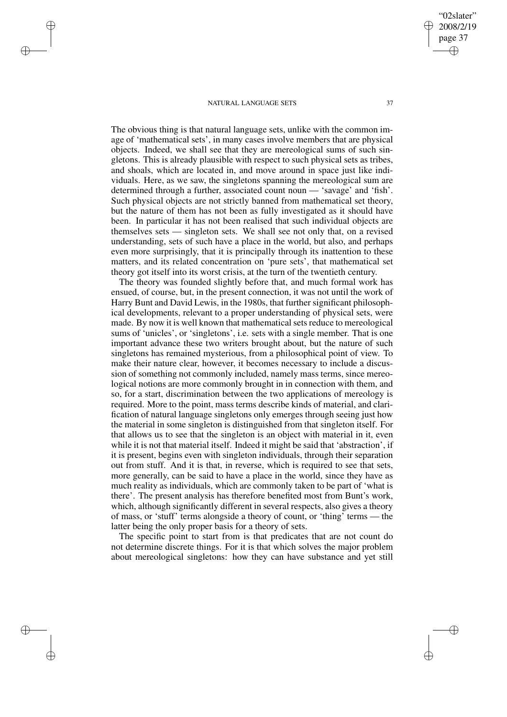✐

✐

✐

✐

The obvious thing is that natural language sets, unlike with the common image of 'mathematical sets', in many cases involve members that are physical objects. Indeed, we shall see that they are mereological sums of such singletons. This is already plausible with respect to such physical sets as tribes, and shoals, which are located in, and move around in space just like individuals. Here, as we saw, the singletons spanning the mereological sum are determined through a further, associated count noun — 'savage' and 'fish'. Such physical objects are not strictly banned from mathematical set theory, but the nature of them has not been as fully investigated as it should have been. In particular it has not been realised that such individual objects are themselves sets — singleton sets. We shall see not only that, on a revised understanding, sets of such have a place in the world, but also, and perhaps even more surprisingly, that it is principally through its inattention to these matters, and its related concentration on 'pure sets', that mathematical set theory got itself into its worst crisis, at the turn of the twentieth century.

The theory was founded slightly before that, and much formal work has ensued, of course, but, in the present connection, it was not until the work of Harry Bunt and David Lewis, in the 1980s, that further significant philosophical developments, relevant to a proper understanding of physical sets, were made. By now it is well known that mathematical sets reduce to mereological sums of 'unicles', or 'singletons', i.e. sets with a single member. That is one important advance these two writers brought about, but the nature of such singletons has remained mysterious, from a philosophical point of view. To make their nature clear, however, it becomes necessary to include a discussion of something not commonly included, namely mass terms, since mereological notions are more commonly brought in in connection with them, and so, for a start, discrimination between the two applications of mereology is required. More to the point, mass terms describe kinds of material, and clarification of natural language singletons only emerges through seeing just how the material in some singleton is distinguished from that singleton itself. For that allows us to see that the singleton is an object with material in it, even while it is not that material itself. Indeed it might be said that 'abstraction', if it is present, begins even with singleton individuals, through their separation out from stuff. And it is that, in reverse, which is required to see that sets, more generally, can be said to have a place in the world, since they have as much reality as individuals, which are commonly taken to be part of 'what is there'. The present analysis has therefore benefited most from Bunt's work, which, although significantly different in several respects, also gives a theory of mass, or 'stuff' terms alongside a theory of count, or 'thing' terms — the latter being the only proper basis for a theory of sets.

The specific point to start from is that predicates that are not count do not determine discrete things. For it is that which solves the major problem about mereological singletons: how they can have substance and yet still

02slater' 2008/2/19 page 37

✐

✐

✐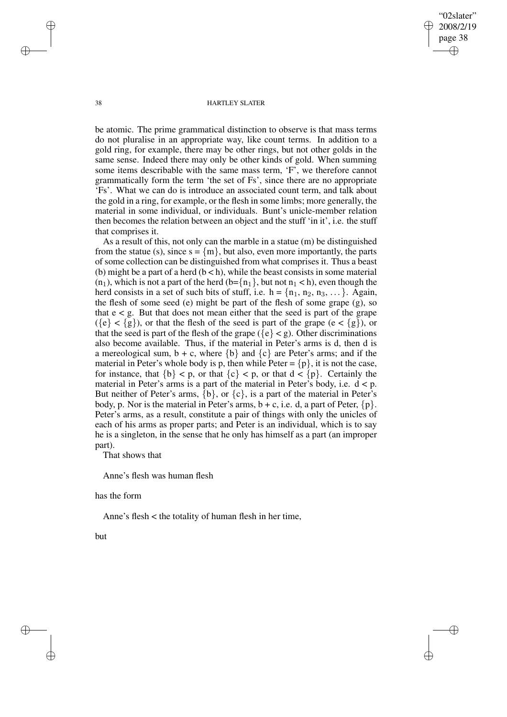"02slater" 2008/2/19 page 38 ✐ ✐

✐

✐

#### 38 HARTLEY SLATER

be atomic. The prime grammatical distinction to observe is that mass terms do not pluralise in an appropriate way, like count terms. In addition to a gold ring, for example, there may be other rings, but not other golds in the same sense. Indeed there may only be other kinds of gold. When summing some items describable with the same mass term, 'F', we therefore cannot grammatically form the term 'the set of Fs', since there are no appropriate 'Fs'. What we can do is introduce an associated count term, and talk about the gold in a ring, for example, or the flesh in some limbs; more generally, the material in some individual, or individuals. Bunt's unicle-member relation then becomes the relation between an object and the stuff 'in it', i.e. the stuff that comprises it.

As a result of this, not only can the marble in a statue (m) be distinguished from the statue (s), since  $s = \{m\}$ , but also, even more importantly, the parts of some collection can be distinguished from what comprises it. Thus a beast (b) might be a part of a herd  $(b < h)$ , while the beast consists in some material  $(n_1)$ , which is not a part of the herd  $(b=\{n_1\})$ , but not  $n_1 < h$ ), even though the herd consists in a set of such bits of stuff, i.e.  $h = \{n_1, n_2, n_3, \dots\}$ . Again, the flesh of some seed (e) might be part of the flesh of some grape (g), so that  $e < g$ . But that does not mean either that the seed is part of the grape  $({e} < {g})$ , or that the flesh of the seed is part of the grape  $(e < {g})$ , or that the seed is part of the flesh of the grape ( $\{e\} < g$ ). Other discriminations also become available. Thus, if the material in Peter's arms is d, then d is a mereological sum,  $b + c$ , where  $\{b\}$  and  $\{c\}$  are Peter's arms; and if the material in Peter's whole body is p, then while Peter =  $\{p\}$ , it is not the case, for instance, that  ${b} < p$ , or that  ${c} < p$ , or that  $d < {p}$ . Certainly the material in Peter's arms is a part of the material in Peter's body, i.e. d < p. But neither of Peter's arms,  ${b}$ , or  ${c}$ , is a part of the material in Peter's body, p. Nor is the material in Peter's arms,  $b + c$ , i.e. d, a part of Peter,  $\{p\}$ . Peter's arms, as a result, constitute a pair of things with only the unicles of each of his arms as proper parts; and Peter is an individual, which is to say he is a singleton, in the sense that he only has himself as a part (an improper part).

That shows that

Anne's flesh was human flesh

has the form

Anne's flesh < the totality of human flesh in her time,

but

✐

✐

✐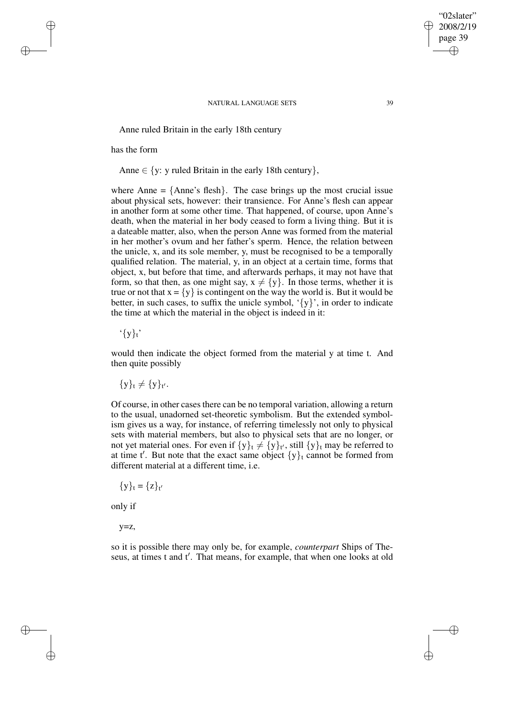Anne ruled Britain in the early 18th century

has the form

✐

✐

✐

✐

Anne  $\in \{$ y: y ruled Britain in the early 18th century $\}$ ,

where Anne  $=$  {Anne's flesh}. The case brings up the most crucial issue about physical sets, however: their transience. For Anne's flesh can appear in another form at some other time. That happened, of course, upon Anne's death, when the material in her body ceased to form a living thing. But it is a dateable matter, also, when the person Anne was formed from the material in her mother's ovum and her father's sperm. Hence, the relation between the unicle, x, and its sole member, y, must be recognised to be a temporally qualified relation. The material, y, in an object at a certain time, forms that object, x, but before that time, and afterwards perhaps, it may not have that form, so that then, as one might say,  $x \neq \{y\}$ . In those terms, whether it is true or not that  $x = \{y\}$  is contingent on the way the world is. But it would be better, in such cases, to suffix the unicle symbol, ' $\{y\}$ ', in order to indicate the time at which the material in the object is indeed in it:

 $\{y\}_t$ 

would then indicate the object formed from the material y at time t. And then quite possibly

 ${y}_t \neq {y}_{t'}.$ 

Of course, in other cases there can be no temporal variation, allowing a return to the usual, unadorned set-theoretic symbolism. But the extended symbolism gives us a way, for instance, of referring timelessly not only to physical sets with material members, but also to physical sets that are no longer, or not yet material ones. For even if  $\{y\}_t \neq {\{y\}}_{t'}$ , still  $\{y\}_t$  may be referred to at time t'. But note that the exact same object  $\{y\}_t$  cannot be formed from different material at a different time, i.e.

 ${y}_t = {z}_{t'}$ 

only if

y=z,

so it is possible there may only be, for example, *counterpart* Ships of Theseus, at times t and  $t'$ . That means, for example, that when one looks at old

"02slater" 2008/2/19 page 39

✐

✐

✐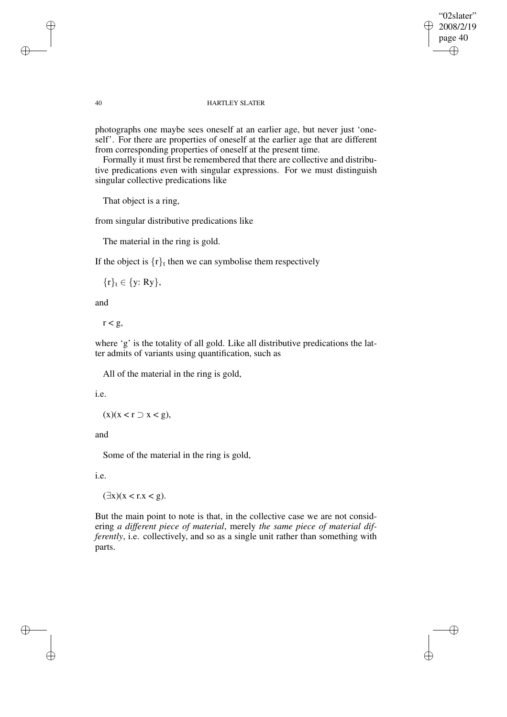"02slater" 2008/2/19 page 40 ✐ ✐

✐

✐

## 40 HARTLEY SLATER

photographs one maybe sees oneself at an earlier age, but never just 'oneself'. For there are properties of oneself at the earlier age that are different from corresponding properties of oneself at the present time.

Formally it must first be remembered that there are collective and distributive predications even with singular expressions. For we must distinguish singular collective predications like

That object is a ring,

from singular distributive predications like

The material in the ring is gold.

If the object is  $\{r\}_t$  then we can symbolise them respectively

$$
\{r\}_t \in \{y: Ry\},\
$$

and

 $r < g$ ,

where 'g' is the totality of all gold. Like all distributive predications the latter admits of variants using quantification, such as

All of the material in the ring is gold,

i.e.

 $(x)(x < r \supset x < g),$ 

and

Some of the material in the ring is gold,

i.e.

✐

✐

 $(\exists x)(x < r.x < g)$ .

But the main point to note is that, in the collective case we are not considering *a different piece of material*, merely *the same piece of material differently*, i.e. collectively, and so as a single unit rather than something with parts.

✐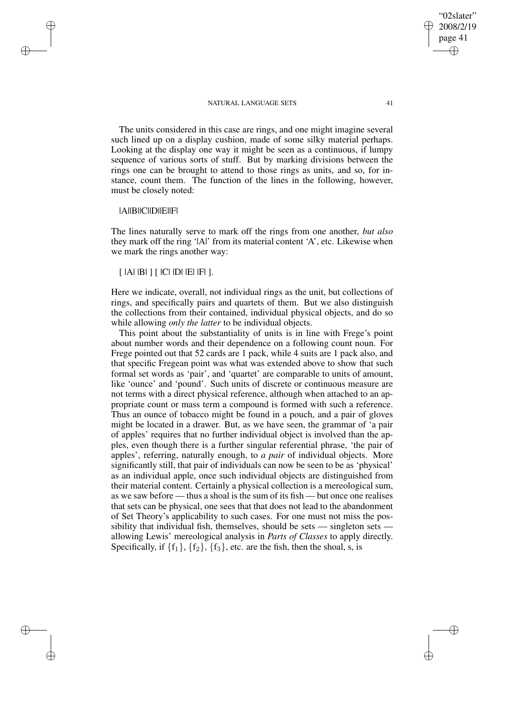The units considered in this case are rings, and one might imagine several such lined up on a display cushion, made of some silky material perhaps. Looking at the display one way it might be seen as a continuous, if lumpy sequence of various sorts of stuff. But by marking divisions between the rings one can be brought to attend to those rings as units, and so, for instance, count them. The function of the lines in the following, however, must be closely noted:

## |A||B||C||D||E||F|

✐

✐

✐

✐

The lines naturally serve to mark off the rings from one another, *but also* they mark off the ring '|A|' from its material content 'A', etc. Likewise when we mark the rings another way:

[ |A| |B| ] [ |C| |D| |E| |F| ].

Here we indicate, overall, not individual rings as the unit, but collections of rings, and specifically pairs and quartets of them. But we also distinguish the collections from their contained, individual physical objects, and do so while allowing *only the latter* to be individual objects.

This point about the substantiality of units is in line with Frege's point about number words and their dependence on a following count noun. For Frege pointed out that 52 cards are 1 pack, while 4 suits are 1 pack also, and that specific Fregean point was what was extended above to show that such formal set words as 'pair', and 'quartet' are comparable to units of amount, like 'ounce' and 'pound'. Such units of discrete or continuous measure are not terms with a direct physical reference, although when attached to an appropriate count or mass term a compound is formed with such a reference. Thus an ounce of tobacco might be found in a pouch, and a pair of gloves might be located in a drawer. But, as we have seen, the grammar of 'a pair of apples' requires that no further individual object is involved than the apples, even though there is a further singular referential phrase, 'the pair of apples', referring, naturally enough, to *a pair* of individual objects. More significantly still, that pair of individuals can now be seen to be as 'physical' as an individual apple, once such individual objects are distinguished from their material content. Certainly a physical collection is a mereological sum, as we saw before — thus a shoal is the sum of its fish — but once one realises that sets can be physical, one sees that that does not lead to the abandonment of Set Theory's applicability to such cases. For one must not miss the possibility that individual fish, themselves, should be sets — singleton sets allowing Lewis' mereological analysis in *Parts of Classes* to apply directly. Specifically, if  $\{f_1\}$ ,  $\{f_2\}$ ,  $\{f_3\}$ , etc. are the fish, then the shoal, s, is

"02slater" 2008/2/19 page 41

✐

✐

✐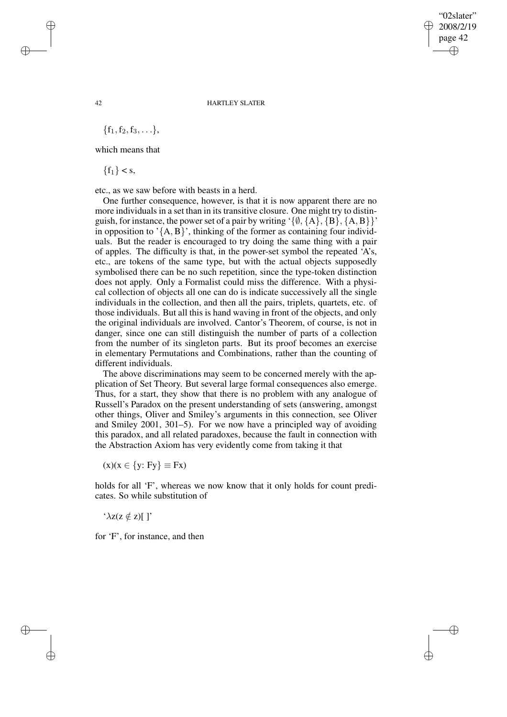"02slater" 2008/2/19 page 42

✐

✐

✐

✐

 ${f_1, f_2, f_3, \ldots}$ 

which means that

 ${f_1} < s$ ,

etc., as we saw before with beasts in a herd.

One further consequence, however, is that it is now apparent there are no more individuals in a set than in its transitive closure. One might try to distinguish, for instance, the power set of a pair by writing ' $\{\emptyset, \{A\}, \{B\}, \{A, B\}\}'$ ' in opposition to  $\{A, B\}$ , thinking of the former as containing four individuals. But the reader is encouraged to try doing the same thing with a pair of apples. The difficulty is that, in the power-set symbol the repeated 'A's, etc., are tokens of the same type, but with the actual objects supposedly symbolised there can be no such repetition, since the type-token distinction does not apply. Only a Formalist could miss the difference. With a physical collection of objects all one can do is indicate successively all the single individuals in the collection, and then all the pairs, triplets, quartets, etc. of those individuals. But all this is hand waving in front of the objects, and only the original individuals are involved. Cantor's Theorem, of course, is not in danger, since one can still distinguish the number of parts of a collection from the number of its singleton parts. But its proof becomes an exercise in elementary Permutations and Combinations, rather than the counting of different individuals.

The above discriminations may seem to be concerned merely with the application of Set Theory. But several large formal consequences also emerge. Thus, for a start, they show that there is no problem with any analogue of Russell's Paradox on the present understanding of sets (answering, amongst other things, Oliver and Smiley's arguments in this connection, see Oliver and Smiley 2001, 301–5). For we now have a principled way of avoiding this paradox, and all related paradoxes, because the fault in connection with the Abstraction Axiom has very evidently come from taking it that

 $(x)(x \in \{y: Fy\} \equiv Fx)$ 

holds for all 'F', whereas we now know that it only holds for count predicates. So while substitution of

' $\lambda$ z(z  $\notin$  z)[ ]'

for 'F', for instance, and then

✐

✐

✐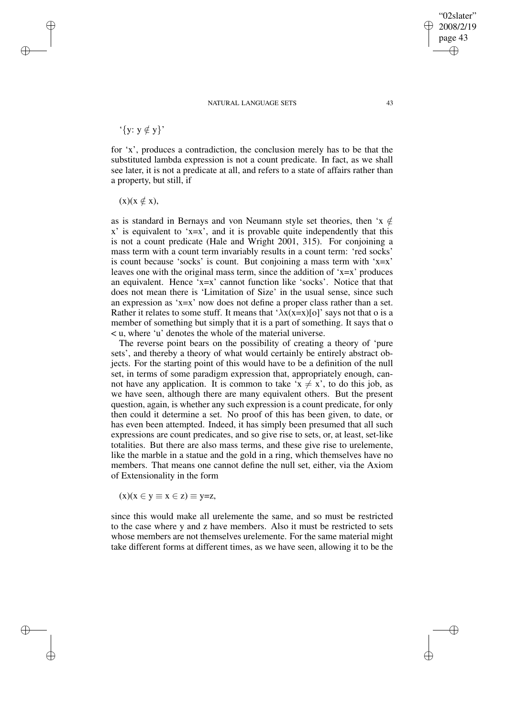' $\{y: y \notin y\}'$ 

✐

✐

✐

✐

for 'x', produces a contradiction, the conclusion merely has to be that the substituted lambda expression is not a count predicate. In fact, as we shall see later, it is not a predicate at all, and refers to a state of affairs rather than a property, but still, if

# $(x)(x \notin x),$

as is standard in Bernays and von Neumann style set theories, then 'x  $\notin$  $x'$  is equivalent to 'x=x', and it is provable quite independently that this is not a count predicate (Hale and Wright 2001, 315). For conjoining a mass term with a count term invariably results in a count term: 'red socks' is count because 'socks' is count. But conjoining a mass term with  $x=x'$ leaves one with the original mass term, since the addition of 'x=x' produces an equivalent. Hence 'x=x' cannot function like 'socks'. Notice that that does not mean there is 'Limitation of Size' in the usual sense, since such an expression as 'x=x' now does not define a proper class rather than a set. Rather it relates to some stuff. It means that ' $\lambda x(x=x)[0]$ ' says not that o is a member of something but simply that it is a part of something. It says that o < u, where 'u' denotes the whole of the material universe.

The reverse point bears on the possibility of creating a theory of 'pure sets', and thereby a theory of what would certainly be entirely abstract objects. For the starting point of this would have to be a definition of the null set, in terms of some paradigm expression that, appropriately enough, cannot have any application. It is common to take ' $x \neq x$ ', to do this job, as we have seen, although there are many equivalent others. But the present question, again, is whether any such expression is a count predicate, for only then could it determine a set. No proof of this has been given, to date, or has even been attempted. Indeed, it has simply been presumed that all such expressions are count predicates, and so give rise to sets, or, at least, set-like totalities. But there are also mass terms, and these give rise to urelemente, like the marble in a statue and the gold in a ring, which themselves have no members. That means one cannot define the null set, either, via the Axiom of Extensionality in the form

 $(x)(x \in y \equiv x \in z) \equiv y = z$ 

since this would make all urelemente the same, and so must be restricted to the case where y and z have members. Also it must be restricted to sets whose members are not themselves urelemente. For the same material might take different forms at different times, as we have seen, allowing it to be the

"02slater" 2008/2/19 page 43

✐

✐

✐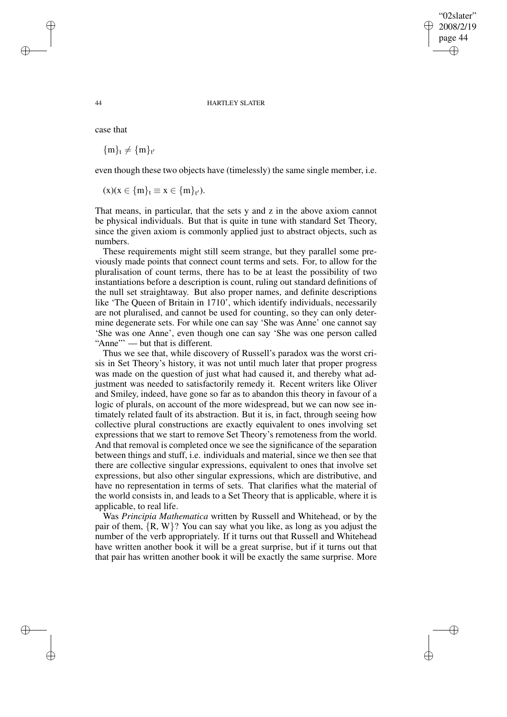"02slater" 2008/2/19 page 44 ✐ ✐

✐

✐

#### 44 HARTLEY SLATER

case that

 ${m}_t \neq {m}_{t'}$ 

even though these two objects have (timelessly) the same single member, i.e.

 $(x)(x \in \{m\}_{t} \equiv x \in \{m\}_{t}).$ 

That means, in particular, that the sets y and z in the above axiom cannot be physical individuals. But that is quite in tune with standard Set Theory, since the given axiom is commonly applied just to abstract objects, such as numbers.

These requirements might still seem strange, but they parallel some previously made points that connect count terms and sets. For, to allow for the pluralisation of count terms, there has to be at least the possibility of two instantiations before a description is count, ruling out standard definitions of the null set straightaway. But also proper names, and definite descriptions like 'The Queen of Britain in 1710', which identify individuals, necessarily are not pluralised, and cannot be used for counting, so they can only determine degenerate sets. For while one can say 'She was Anne' one cannot say 'She was one Anne', even though one can say 'She was one person called "Anne" — but that is different.

Thus we see that, while discovery of Russell's paradox was the worst crisis in Set Theory's history, it was not until much later that proper progress was made on the question of just what had caused it, and thereby what adjustment was needed to satisfactorily remedy it. Recent writers like Oliver and Smiley, indeed, have gone so far as to abandon this theory in favour of a logic of plurals, on account of the more widespread, but we can now see intimately related fault of its abstraction. But it is, in fact, through seeing how collective plural constructions are exactly equivalent to ones involving set expressions that we start to remove Set Theory's remoteness from the world. And that removal is completed once we see the significance of the separation between things and stuff, i.e. individuals and material, since we then see that there are collective singular expressions, equivalent to ones that involve set expressions, but also other singular expressions, which are distributive, and have no representation in terms of sets. That clarifies what the material of the world consists in, and leads to a Set Theory that is applicable, where it is applicable, to real life.

Was *Principia Mathematica* written by Russell and Whitehead, or by the pair of them,  $\{R, W\}$ ? You can say what you like, as long as you adjust the number of the verb appropriately. If it turns out that Russell and Whitehead have written another book it will be a great surprise, but if it turns out that that pair has written another book it will be exactly the same surprise. More

✐

✐

✐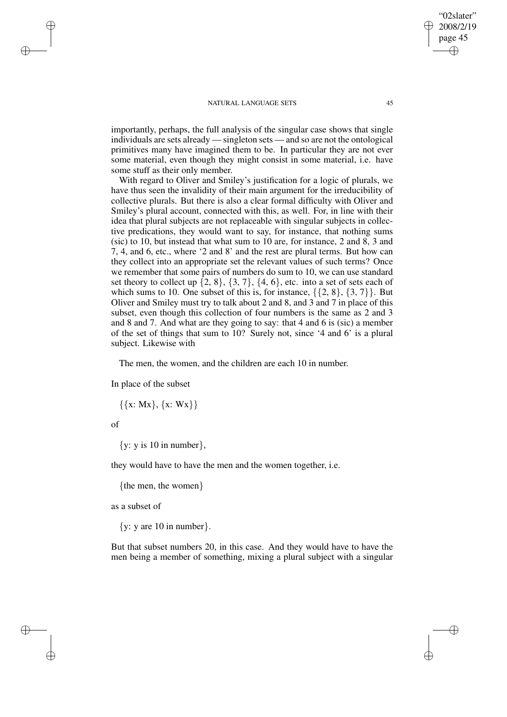importantly, perhaps, the full analysis of the singular case shows that single individuals are sets already — singleton sets — and so are not the ontological primitives many have imagined them to be. In particular they are not ever some material, even though they might consist in some material, i.e. have some stuff as their only member.

With regard to Oliver and Smiley's justification for a logic of plurals, we have thus seen the invalidity of their main argument for the irreducibility of collective plurals. But there is also a clear formal difficulty with Oliver and Smiley's plural account, connected with this, as well. For, in line with their idea that plural subjects are not replaceable with singular subjects in collective predications, they would want to say, for instance, that nothing sums (sic) to 10, but instead that what sum to 10 are, for instance, 2 and 8, 3 and 7, 4, and 6, etc., where '2 and 8' and the rest are plural terms. But how can they collect into an appropriate set the relevant values of such terms? Once we remember that some pairs of numbers do sum to 10, we can use standard set theory to collect up  $\{2, 8\}, \{3, 7\}, \{4, 6\}$ , etc. into a set of sets each of which sums to 10. One subset of this is, for instance,  $\{\{2, 8\}, \{3, 7\}\}\.$  But Oliver and Smiley must try to talk about 2 and 8, and 3 and 7 in place of this subset, even though this collection of four numbers is the same as 2 and 3 and 8 and 7. And what are they going to say: that 4 and 6 is (sic) a member of the set of things that sum to 10? Surely not, since '4 and 6' is a plural subject. Likewise with

The men, the women, and the children are each 10 in number.

In place of the subset

 $\{\{x: Mx\}, \{x: Wx\}\}\$ 

of

✐

✐

✐

✐

 $\{y: y \in \{10 \text{ in number}\}\,$ 

they would have to have the men and the women together, i.e.

{the men, the women}

as a subset of

 $\{y: y \text{ are } 10 \text{ in number}\}.$ 

But that subset numbers 20, in this case. And they would have to have the men being a member of something, mixing a plural subject with a singular

"02slater" 2008/2/19 page 45

✐

✐

✐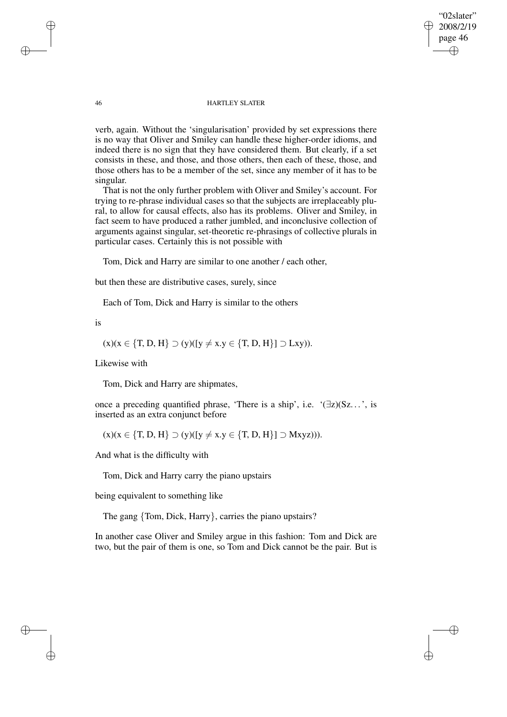# "02slater" 2008/2/19 page 46 ✐ ✐

✐

✐

#### 46 HARTLEY SLATER

verb, again. Without the 'singularisation' provided by set expressions there is no way that Oliver and Smiley can handle these higher-order idioms, and indeed there is no sign that they have considered them. But clearly, if a set consists in these, and those, and those others, then each of these, those, and those others has to be a member of the set, since any member of it has to be singular.

That is not the only further problem with Oliver and Smiley's account. For trying to re-phrase individual cases so that the subjects are irreplaceably plural, to allow for causal effects, also has its problems. Oliver and Smiley, in fact seem to have produced a rather jumbled, and inconclusive collection of arguments against singular, set-theoretic re-phrasings of collective plurals in particular cases. Certainly this is not possible with

Tom, Dick and Harry are similar to one another / each other,

but then these are distributive cases, surely, since

Each of Tom, Dick and Harry is similar to the others

is

$$
(x)(x \in \{T, D, H\} \supset (y)([y \neq x.y \in \{T, D, H\}] \supset Lxy)).
$$

Likewise with

Tom, Dick and Harry are shipmates,

once a preceding quantified phrase, 'There is a ship', i.e.  $\left(\exists z\right)(Sz...$ ', is inserted as an extra conjunct before

 $(x)(x \in \{T, D, H\} \supseteq (y)([y \neq x, y \in \{T, D, H\}] \supset Mxyz))$ ).

And what is the difficulty with

Tom, Dick and Harry carry the piano upstairs

being equivalent to something like

The gang {Tom, Dick, Harry}, carries the piano upstairs?

In another case Oliver and Smiley argue in this fashion: Tom and Dick are two, but the pair of them is one, so Tom and Dick cannot be the pair. But is

✐

✐

✐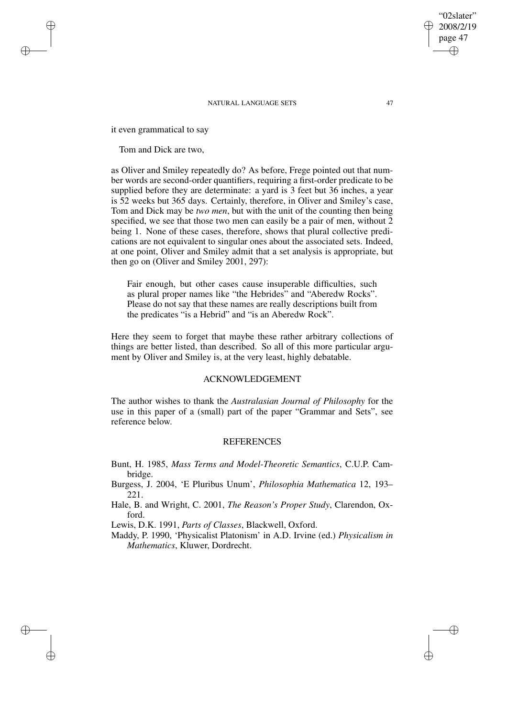it even grammatical to say

✐

✐

✐

✐

Tom and Dick are two,

as Oliver and Smiley repeatedly do? As before, Frege pointed out that number words are second-order quantifiers, requiring a first-order predicate to be supplied before they are determinate: a yard is 3 feet but 36 inches, a year is 52 weeks but 365 days. Certainly, therefore, in Oliver and Smiley's case, Tom and Dick may be *two men*, but with the unit of the counting then being specified, we see that those two men can easily be a pair of men, without 2 being 1. None of these cases, therefore, shows that plural collective predications are not equivalent to singular ones about the associated sets. Indeed, at one point, Oliver and Smiley admit that a set analysis is appropriate, but then go on (Oliver and Smiley 2001, 297):

Fair enough, but other cases cause insuperable difficulties, such as plural proper names like "the Hebrides" and "Aberedw Rocks". Please do not say that these names are really descriptions built from the predicates "is a Hebrid" and "is an Aberedw Rock".

Here they seem to forget that maybe these rather arbitrary collections of things are better listed, than described. So all of this more particular argument by Oliver and Smiley is, at the very least, highly debatable.

# ACKNOWLEDGEMENT

The author wishes to thank the *Australasian Journal of Philosophy* for the use in this paper of a (small) part of the paper "Grammar and Sets", see reference below.

# **REFERENCES**

- Bunt, H. 1985, *Mass Terms and Model-Theoretic Semantics*, C.U.P. Cambridge.
- Burgess, J. 2004, 'E Pluribus Unum', *Philosophia Mathematica* 12, 193– 221.
- Hale, B. and Wright, C. 2001, *The Reason's Proper Study*, Clarendon, Oxford.

Lewis, D.K. 1991, *Parts of Classes*, Blackwell, Oxford.

Maddy, P. 1990, 'Physicalist Platonism' in A.D. Irvine (ed.) *Physicalism in Mathematics*, Kluwer, Dordrecht.

"02slater" 2008/2/19 page 47

✐

✐

✐